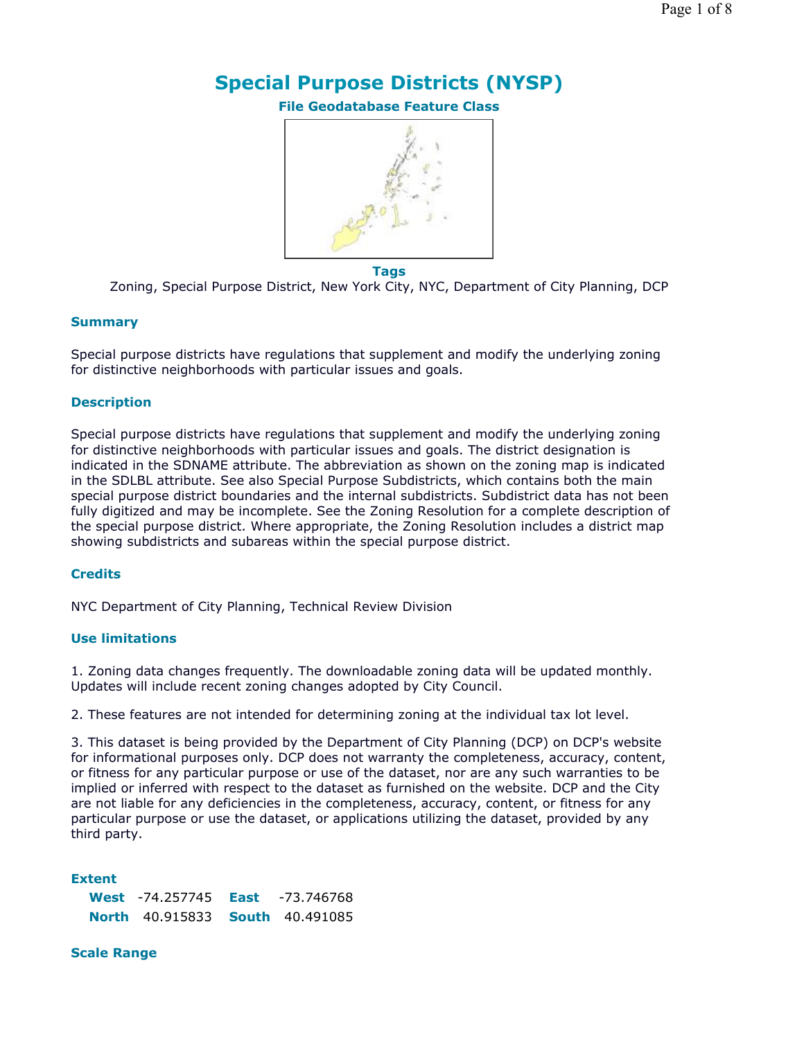# **Special Purpose Districts (NYSP)**

**File Geodatabase Feature Class**



**Tags**

Zoning, Special Purpose District, New York City, NYC, Department of City Planning, DCP

#### **Summary**

Special purpose districts have regulations that supplement and modify the underlying zoning for distinctive neighborhoods with particular issues and goals.

#### **Description**

Special purpose districts have regulations that supplement and modify the underlying zoning for distinctive neighborhoods with particular issues and goals. The district designation is indicated in the SDNAME attribute. The abbreviation as shown on the zoning map is indicated in the SDLBL attribute. See also Special Purpose Subdistricts, which contains both the main special purpose district boundaries and the internal subdistricts. Subdistrict data has not been fully digitized and may be incomplete. See the Zoning Resolution for a complete description of the special purpose district. Where appropriate, the Zoning Resolution includes a district map showing subdistricts and subareas within the special purpose district.

## **Credits**

NYC Department of City Planning, Technical Review Division

#### **Use limitations**

1. Zoning data changes frequently. The downloadable zoning data will be updated monthly. Updates will include recent zoning changes adopted by City Council.

2. These features are not intended for determining zoning at the individual tax lot level.

3. This dataset is being provided by the Department of City Planning (DCP) on DCP's website for informational purposes only. DCP does not warranty the completeness, accuracy, content, or fitness for any particular purpose or use of the dataset, nor are any such warranties to be implied or inferred with respect to the dataset as furnished on the website. DCP and the City are not liable for any deficiencies in the completeness, accuracy, content, or fitness for any particular purpose or use the dataset, or applications utilizing the dataset, provided by any third party.

#### **Extent**

| <b>West</b> $-74.257745$ <b>East</b> $-73.746768$ |  |
|---------------------------------------------------|--|
| <b>North 40.915833 South 40.491085</b>            |  |

#### **Scale Range**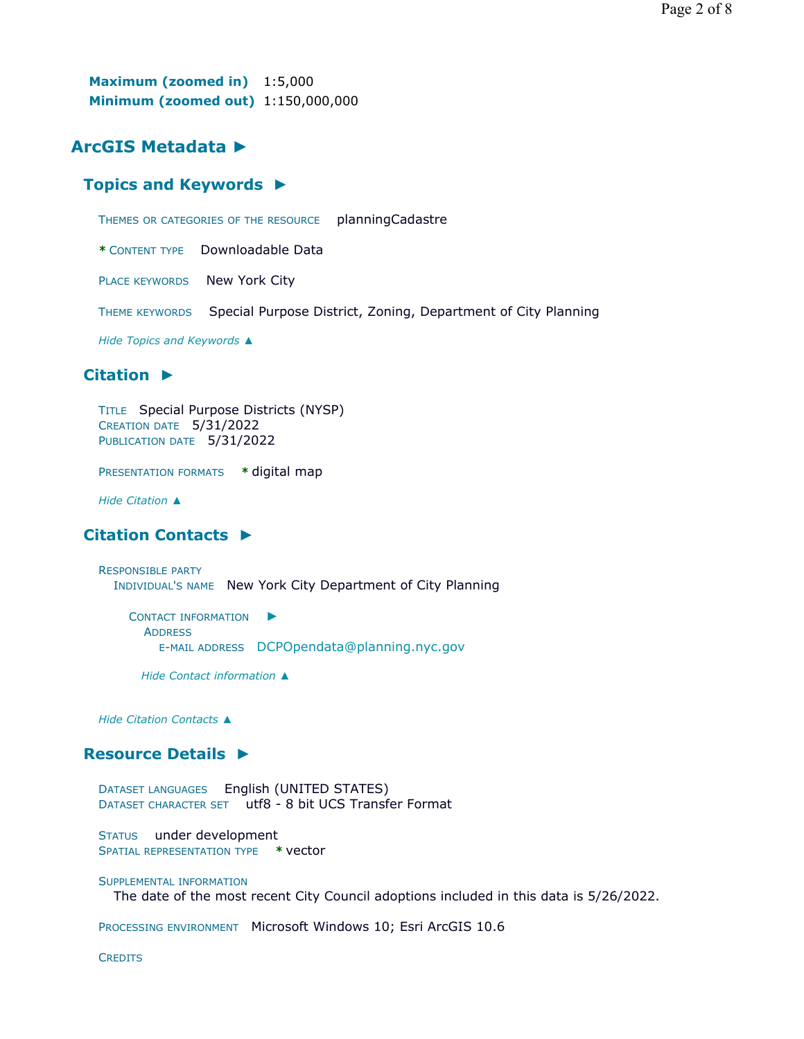**Maximum (zoomed in)** 1:5,000 **Minimum (zoomed out)** 1:150,000,000

## **ArcGIS Metadata ►**

#### **Topics and Keywords ►**

THEMES OR CATEGORIES OF THE RESOURCE planningCadastre

**\*** CONTENT TYPE Downloadable Data

PLACE KEYWORDS New York City

THEME KEYWORDS Special Purpose District, Zoning, Department of City Planning

*Hide Topics and Keywords ▲*

#### **Citation ►**

```
TITLE Special Purpose Districts (NYSP)
CREATION DATE 5/31/2022 
PUBLICATION DATE 5/31/2022
```
PRESENTATION FORMATS **\*** digital map

*Hide Citation ▲*

#### **Citation Contacts ►**

RESPONSIBLE PARTY INDIVIDUAL'S NAME New York City Department of City Planning

CONTACT INFORMATION ► **ADDRESS** E-MAIL ADDRESS DCPOpendata@planning.nyc.gov

*Hide Contact information ▲*

*Hide Citation Contacts ▲*

#### **Resource Details ►**

DATASET LANGUAGES English (UNITED STATES) DATASET CHARACTER SET utf8 - 8 bit UCS Transfer Format

STATUS under development SPATIAL REPRESENTATION TYPE **\*** vector

#### SUPPLEMENTAL INFORMATION

The date of the most recent City Council adoptions included in this data is 5/26/2022.

PROCESSING ENVIRONMENT Microsoft Windows 10; Esri ArcGIS 10.6

**CREDITS**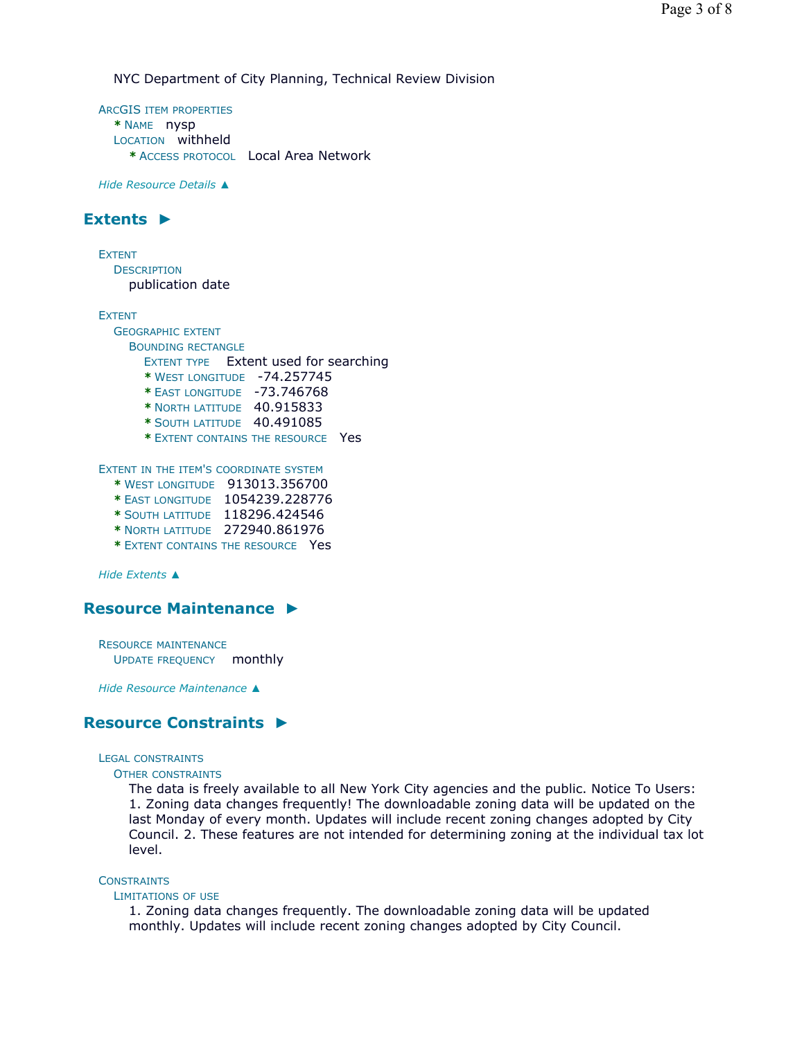NYC Department of City Planning, Technical Review Division

ARCGIS ITEM PROPERTIES **\*** NAME nysp LOCATION withheld **\*** ACCESS PROTOCOL Local Area Network

*Hide Resource Details ▲*

## **Extents ►**

EXTENT **DESCRIPTION** publication date

EXTENT

GEOGRAPHIC EXTENT BOUNDING RECTANGLE EXTENT TYPE Extent used for searching **\*** WEST LONGITUDE -74.257745 **\*** EAST LONGITUDE -73.746768 **\*** NORTH LATITUDE 40.915833 **\*** SOUTH LATITUDE 40.491085 **\*** EXTENT CONTAINS THE RESOURCE Yes EXTENT IN THE ITEM'S COORDINATE SYSTEM **\*** WEST LONGITUDE 913013.356700 **\*** EAST LONGITUDE 1054239.228776

- 
- **\*** SOUTH LATITUDE 118296.424546 **\*** NORTH LATITUDE 272940.861976
- 
- **\*** EXTENT CONTAINS THE RESOURCE Yes

*Hide Extents ▲*

#### **Resource Maintenance ►**

RESOURCE MAINTENANCE UPDATE FREQUENCY monthly

*Hide Resource Maintenance ▲*

## **Resource Constraints ►**

LEGAL CONSTRAINTS

OTHER CONSTRAINTS

The data is freely available to all New York City agencies and the public. Notice To Users: 1. Zoning data changes frequently! The downloadable zoning data will be updated on the last Monday of every month. Updates will include recent zoning changes adopted by City Council. 2. These features are not intended for determining zoning at the individual tax lot level.

#### **CONSTRAINTS**

#### LIMITATIONS OF USE

1. Zoning data changes frequently. The downloadable zoning data will be updated monthly. Updates will include recent zoning changes adopted by City Council.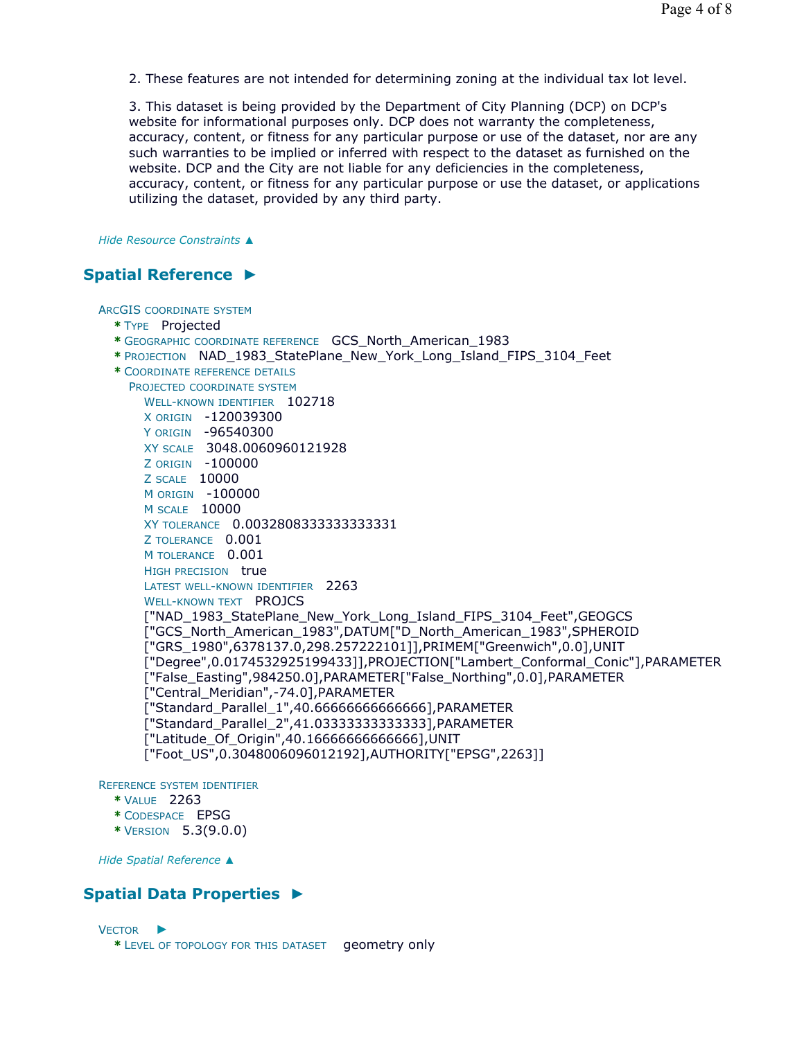2. These features are not intended for determining zoning at the individual tax lot level.

3. This dataset is being provided by the Department of City Planning (DCP) on DCP's website for informational purposes only. DCP does not warranty the completeness, accuracy, content, or fitness for any particular purpose or use of the dataset, nor are any such warranties to be implied or inferred with respect to the dataset as furnished on the website. DCP and the City are not liable for any deficiencies in the completeness, accuracy, content, or fitness for any particular purpose or use the dataset, or applications utilizing the dataset, provided by any third party.

*Hide Resource Constraints ▲*

## **Spatial Reference ►**

ARCGIS COORDINATE SYSTEM

- **\*** TYPE Projected
- **\*** GEOGRAPHIC COORDINATE REFERENCE GCS\_North\_American\_1983
- **\*** PROJECTION NAD\_1983\_StatePlane\_New\_York\_Long\_Island\_FIPS\_3104\_Feet

**\*** COORDINATE REFERENCE DETAILS PROJECTED COORDINATE SYSTEM WELL-KNOWN IDENTIFIER 102718 X ORIGIN -120039300 Y ORIGIN -96540300 XY SCALE 3048.0060960121928 Z ORIGIN -100000 Z SCALE 10000 M ORIGIN -100000 M SCALE 10000 XY TOLERANCE 0.0032808333333333331 Z TOLERANCE 0.001 M TOLERANCE 0.001 HIGH PRECISION true LATEST WELL-KNOWN IDENTIFIER 2263 WELL-KNOWN TEXT **PROJCS** ["NAD\_1983\_StatePlane\_New\_York\_Long\_Island\_FIPS\_3104\_Feet",GEOGCS ["GCS\_North\_American\_1983",DATUM["D\_North\_American\_1983",SPHEROID ["GRS\_1980",6378137.0,298.257222101]],PRIMEM["Greenwich",0.0],UNIT ["Degree",0.0174532925199433]],PROJECTION["Lambert\_Conformal\_Conic"],PARAMETER ["False\_Easting",984250.0],PARAMETER["False\_Northing",0.0],PARAMETER ["Central\_Meridian",-74.0],PARAMETER ["Standard\_Parallel\_1",40.66666666666666],PARAMETER ["Standard\_Parallel\_2",41.03333333333333],PARAMETER ["Latitude\_Of\_Origin",40.16666666666666],UNIT ["Foot\_US",0.3048006096012192],AUTHORITY["EPSG",2263]]

REFERENCE SYSTEM IDENTIFIER

- **\*** VALUE 2263
- **\*** CODESPACE EPSG
- **\*** VERSION 5.3(9.0.0)

*Hide Spatial Reference ▲*

## **Spatial Data Properties ►**

VECTOR ► **\*** LEVEL OF TOPOLOGY FOR THIS DATASET geometry only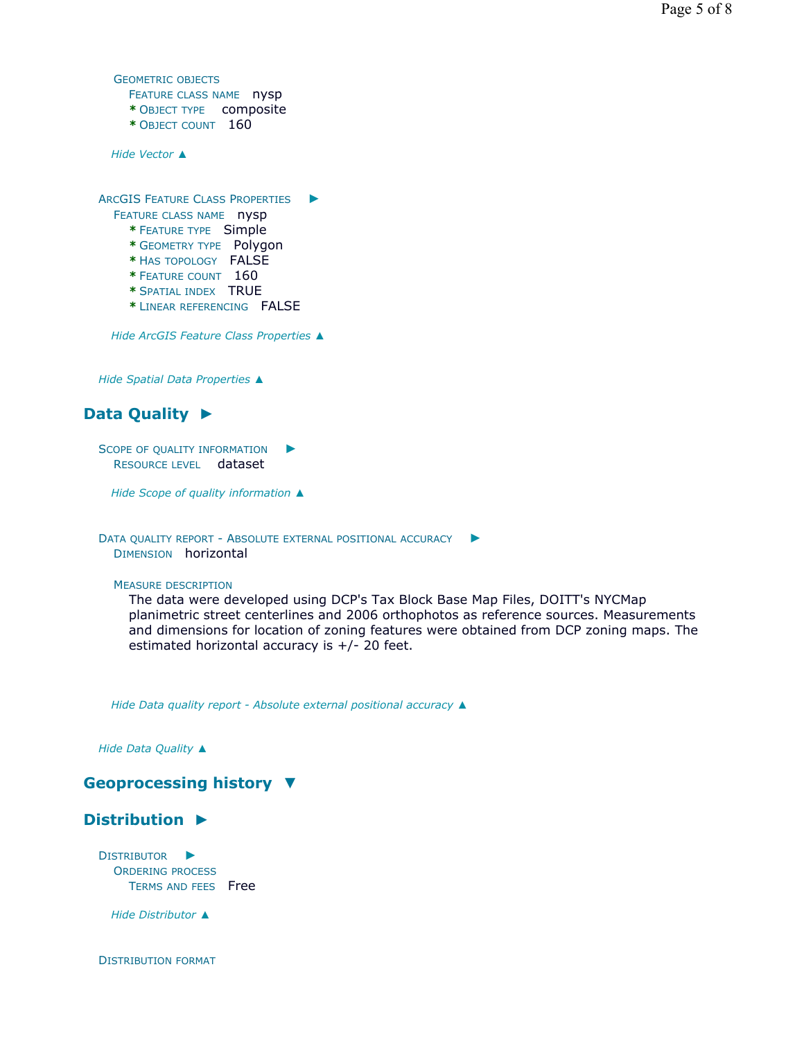```
GEOMETRIC OBJECTS
      FEATURE CLASS NAME nysp
      * OBJECT TYPE composite 
      * OBJECT COUNT 160
   Hide Vector ▲
  ARCGIS FEATURE CLASS PROPERTIES
►
    FEATURE CLASS NAME nysp
      * FEATURE TYPE Simple 
      * GEOMETRY TYPE Polygon 
      * HAS TOPOLOGY FALSE 
      * FEATURE COUNT 160 
      * SPATIAL INDEX TRUE 
      * LINEAR REFERENCING FALSE
   Hide ArcGIS Feature Class Properties ▲
 Hide Spatial Data Properties ▲
Data Quality 
►
  SCOPE OF QUALITY INFORMATION
                               ►
```
RESOURCE LEVEL dataset

*Hide Scope of quality information ▲*

```
DATA QUALITY REPORT - ABSOLUTE EXTERNAL POSITIONAL ACCURACY
►
  DIMENSION horizontal
```
MEASURE DESCRIPTION

The data were developed using DCP's Tax Block Base Map Files, DOITT's NYCMap planimetric street centerlines and 2006 orthophotos as reference sources. Measurements and dimensions for location of zoning features were obtained from DCP zoning maps. The estimated horizontal accuracy is +/- 20 feet.

*Hide Data quality report - Absolute external positional accuracy ▲*

*Hide Data Quality ▲*

## **Geoprocessing history ▼**

## **Distribution ►**

DISTRIBUTOR ► ORDERING PROCESS TERMS AND FEES Free

*Hide Distributor ▲*

DISTRIBUTION FORMAT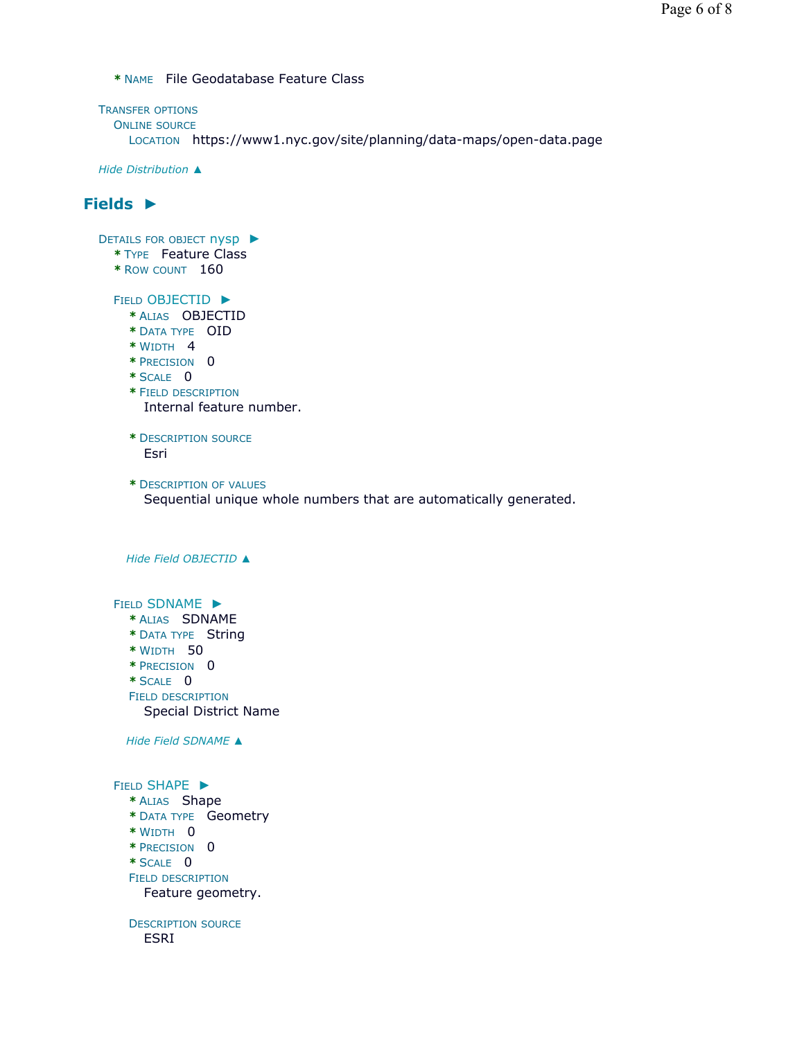**\*** NAME File Geodatabase Feature Class

```
TRANSFER OPTIONS
  ONLINE SOURCE
    LOCATION https://www1.nyc.gov/site/planning/data-maps/open-data.page
```
*Hide Distribution ▲*

# **Fields ►**

DETAILS FOR OBJECT NYSP ▶

- **\*** TYPE Feature Class
- **\*** ROW COUNT 160

FIELD OBJECTID ►

- **\*** ALIAS OBJECTID
- **\*** DATA TYPE OID
- **\*** WIDTH 4
- **\*** PRECISION 0
- **\*** SCALE 0
- **\*** FIELD DESCRIPTION Internal feature number.
- **\*** DESCRIPTION SOURCE Esri
- **\*** DESCRIPTION OF VALUES Sequential unique whole numbers that are automatically generated.

```
Hide Field OBJECTID ▲
```
FIELD SDNAME ►

- **\*** ALIAS SDNAME
- **\*** DATA TYPE String
- **\*** WIDTH 50
- **\*** PRECISION 0
- **\*** SCALE 0 FIELD DESCRIPTION
- Special District Name

*Hide Field SDNAME ▲*

FIELD SHAPE ► **\*** ALIAS Shape **\*** DATA TYPE Geometry **\*** WIDTH 0 **\*** PRECISION 0 **\*** SCALE 0 FIELD DESCRIPTION Feature geometry.

DESCRIPTION SOURCE ESRI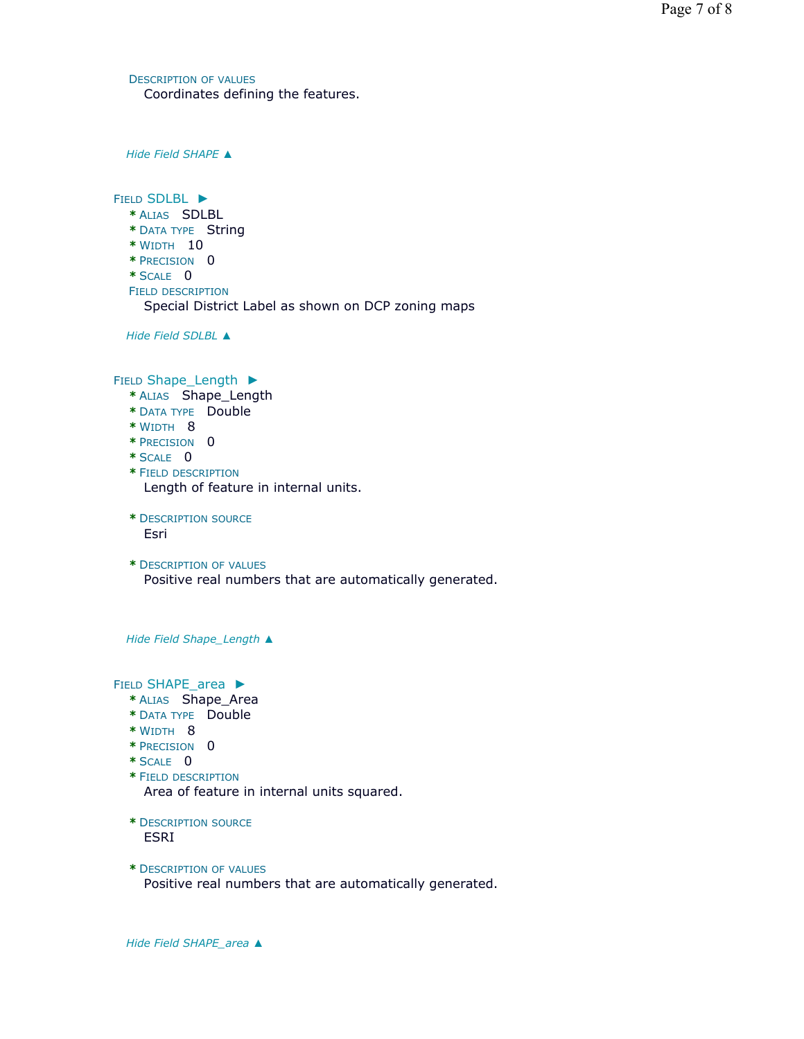DESCRIPTION OF VALUES Coordinates defining the features.

*Hide Field SHAPE ▲*

FIELD SDLBL ► **\*** ALIAS SDLBL **\*** DATA TYPE String **\*** WIDTH 10 **\*** PRECISION 0 **\*** SCALE 0 FIELD DESCRIPTION Special District Label as shown on DCP zoning maps

*Hide Field SDLBL ▲*

FIELD Shape\_Length ▶

- **\*** ALIAS Shape\_Length
- **\*** DATA TYPE Double
- **\*** WIDTH 8
- **\*** PRECISION 0
- **\*** SCALE 0
- **\*** FIELD DESCRIPTION Length of feature in internal units.
- **\*** DESCRIPTION SOURCE Esri
- **\*** DESCRIPTION OF VALUES Positive real numbers that are automatically generated.

*Hide Field Shape\_Length ▲*

FIELD SHAPE\_area ▶

- **\*** ALIAS Shape\_Area
- **\*** DATA TYPE Double
- **\*** WIDTH 8
- **\*** PRECISION 0
- **\*** SCALE 0
- **\*** FIELD DESCRIPTION Area of feature in internal units squared.

**\*** DESCRIPTION SOURCE ESRI

**\*** DESCRIPTION OF VALUES Positive real numbers that are automatically generated.

*Hide Field SHAPE\_area ▲*